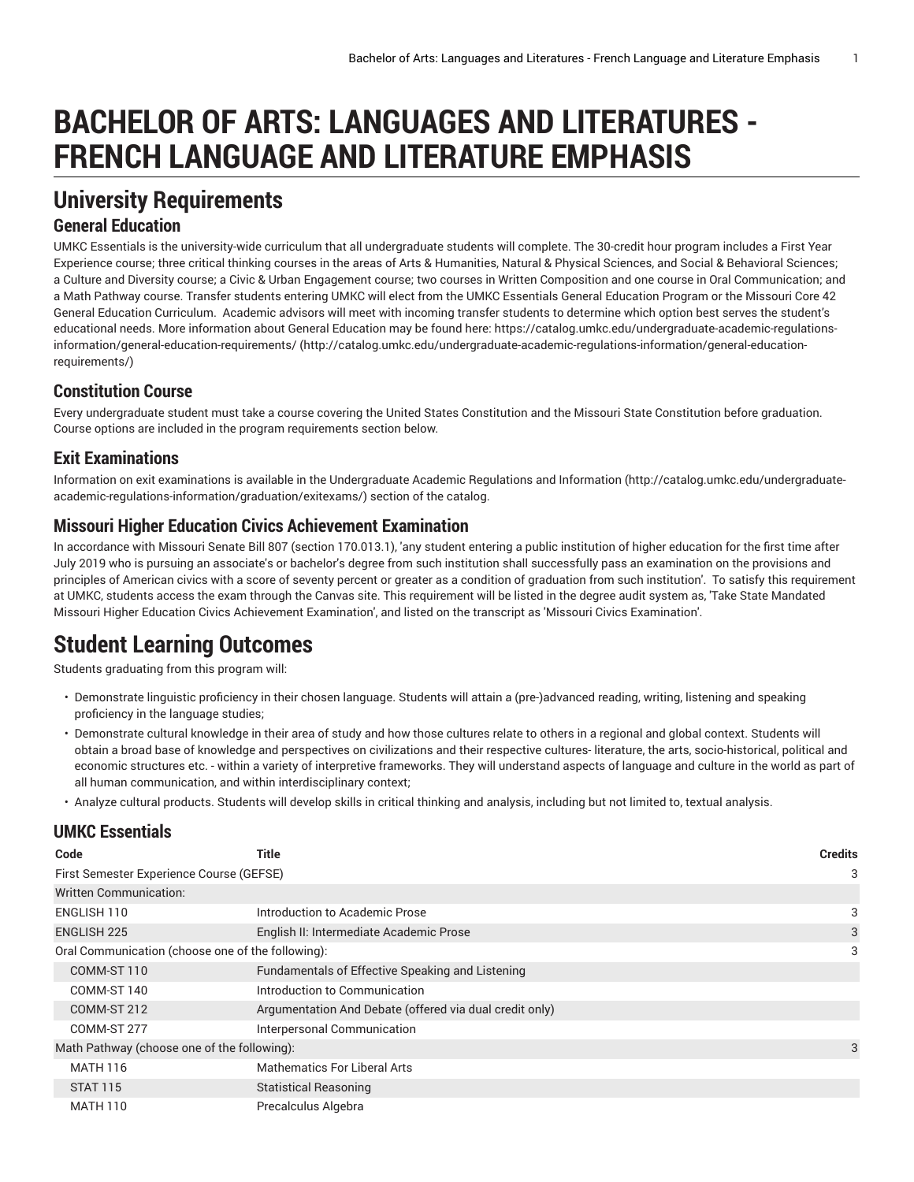# **BACHELOR OF ARTS: LANGUAGES AND LITERATURES - FRENCH LANGUAGE AND LITERATURE EMPHASIS**

# **University Requirements**

### **General Education**

UMKC Essentials is the university-wide curriculum that all undergraduate students will complete. The 30-credit hour program includes a First Year Experience course; three critical thinking courses in the areas of Arts & Humanities, Natural & Physical Sciences, and Social & Behavioral Sciences; a Culture and Diversity course; a Civic & Urban Engagement course; two courses in Written Composition and one course in Oral Communication; and a Math Pathway course. Transfer students entering UMKC will elect from the UMKC Essentials General Education Program or the Missouri Core 42 General Education Curriculum. Academic advisors will meet with incoming transfer students to determine which option best serves the student's educational needs. More information about General Education may be found here: [https://catalog.umkc.edu/undergraduate-academic-regulations](http://catalog.umkc.edu/undergraduate-academic-regulations-information/general-education-requirements/)[information/general-education-requirements/](http://catalog.umkc.edu/undergraduate-academic-regulations-information/general-education-requirements/) ([http://catalog.umkc.edu/undergraduate-academic-regulations-information/general-education](http://catalog.umkc.edu/undergraduate-academic-regulations-information/general-education-requirements/)[requirements/\)](http://catalog.umkc.edu/undergraduate-academic-regulations-information/general-education-requirements/)

### **Constitution Course**

Every undergraduate student must take a course covering the United States Constitution and the Missouri State Constitution before graduation. Course options are included in the program requirements section below.

### **Exit Examinations**

Information on exit examinations is available in the [Undergraduate](http://catalog.umkc.edu/undergraduate-academic-regulations-information/graduation/exitexams/) Academic Regulations and Information [\(http://catalog.umkc.edu/undergraduate](http://catalog.umkc.edu/undergraduate-academic-regulations-information/graduation/exitexams/)[academic-regulations-information/graduation/exitexams/](http://catalog.umkc.edu/undergraduate-academic-regulations-information/graduation/exitexams/)) section of the catalog.

### **Missouri Higher Education Civics Achievement Examination**

In accordance with Missouri Senate Bill 807 (section 170.013.1), 'any student entering a public institution of higher education for the first time after July 2019 who is pursuing an associate's or bachelor's degree from such institution shall successfully pass an examination on the provisions and principles of American civics with a score of seventy percent or greater as a condition of graduation from such institution'. To satisfy this requirement at UMKC, students access the exam through the Canvas site. This requirement will be listed in the degree audit system as, 'Take State Mandated Missouri Higher Education Civics Achievement Examination', and listed on the transcript as 'Missouri Civics Examination'.

# **Student Learning Outcomes**

Students graduating from this program will:

- Demonstrate linguistic proficiency in their chosen language. Students will attain a (pre-)advanced reading, writing, listening and speaking proficiency in the language studies;
- Demonstrate cultural knowledge in their area of study and how those cultures relate to others in a regional and global context. Students will obtain a broad base of knowledge and perspectives on civilizations and their respective cultures- literature, the arts, socio-historical, political and economic structures etc. - within a variety of interpretive frameworks. They will understand aspects of language and culture in the world as part of all human communication, and within interdisciplinary context;
- Analyze cultural products. Students will develop skills in critical thinking and analysis, including but not limited to, textual analysis.

### **UMKC Essentials**

| Code                                              | Title                                                   | <b>Credits</b> |
|---------------------------------------------------|---------------------------------------------------------|----------------|
| First Semester Experience Course (GEFSE)          |                                                         | 3              |
| Written Communication:                            |                                                         |                |
| ENGLISH 110                                       | Introduction to Academic Prose                          | 3              |
| <b>ENGLISH 225</b>                                | English II: Intermediate Academic Prose                 | 3              |
| Oral Communication (choose one of the following): |                                                         |                |
| COMM-ST 110                                       | Fundamentals of Effective Speaking and Listening        |                |
| COMM-ST 140                                       | Introduction to Communication                           |                |
| COMM-ST 212                                       | Argumentation And Debate (offered via dual credit only) |                |
| COMM-ST 277                                       | Interpersonal Communication                             |                |
| Math Pathway (choose one of the following):       |                                                         |                |
| <b>MATH 116</b>                                   | Mathematics For Liberal Arts                            |                |
| <b>STAT 115</b>                                   | <b>Statistical Reasoning</b>                            |                |
| <b>MATH 110</b>                                   | Precalculus Algebra                                     |                |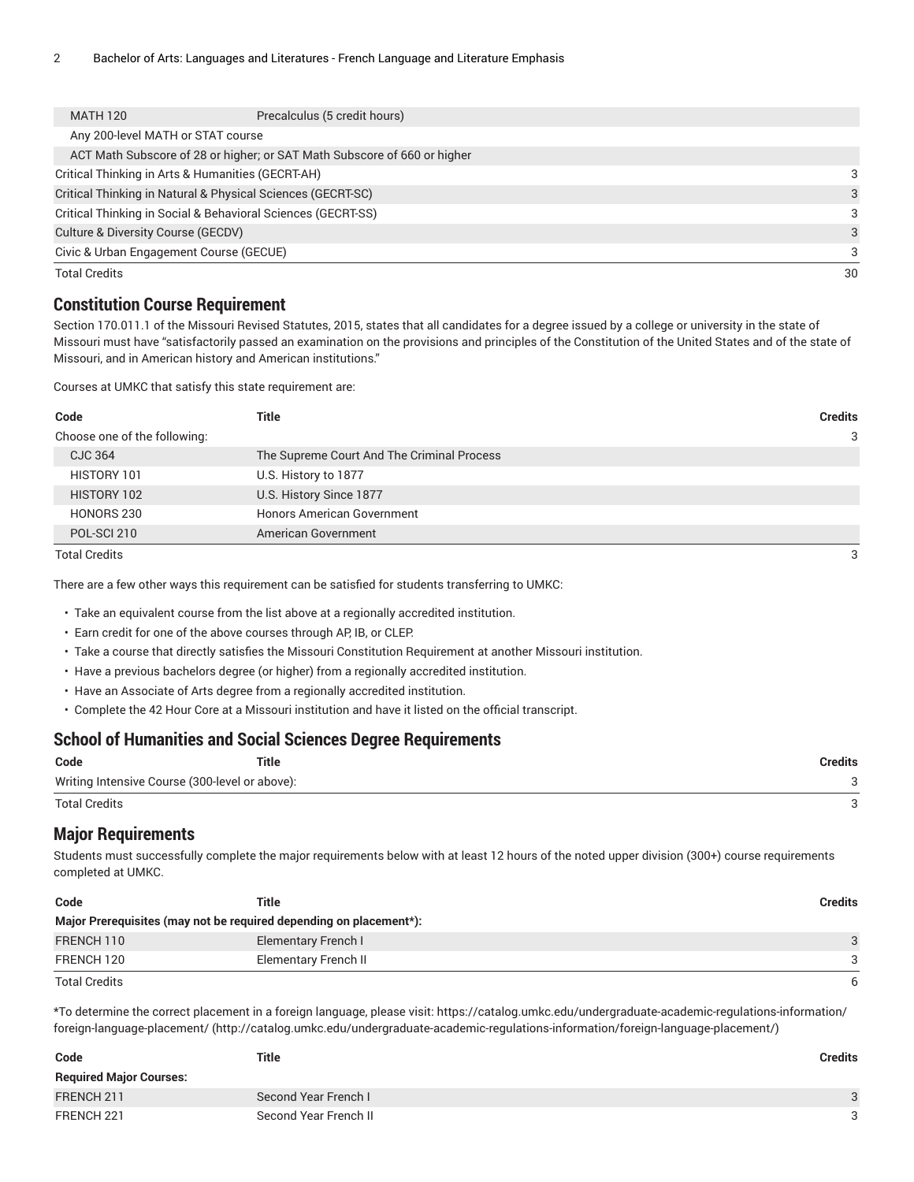| <b>MATH 120</b>                         | Precalculus (5 credit hours)                                             |    |
|-----------------------------------------|--------------------------------------------------------------------------|----|
| Any 200-level MATH or STAT course       |                                                                          |    |
|                                         | ACT Math Subscore of 28 or higher; or SAT Math Subscore of 660 or higher |    |
|                                         | Critical Thinking in Arts & Humanities (GECRT-AH)                        | 3  |
|                                         | Critical Thinking in Natural & Physical Sciences (GECRT-SC)              | 3  |
|                                         | Critical Thinking in Social & Behavioral Sciences (GECRT-SS)             | 3  |
| Culture & Diversity Course (GECDV)      |                                                                          | 3  |
| Civic & Urban Engagement Course (GECUE) |                                                                          | 3  |
| <b>Total Credits</b>                    |                                                                          | 30 |

#### **Constitution Course Requirement**

Section 170.011.1 of the Missouri Revised Statutes, 2015, states that all candidates for a degree issued by a college or university in the state of Missouri must have "satisfactorily passed an examination on the provisions and principles of the Constitution of the United States and of the state of Missouri, and in American history and American institutions."

Courses at UMKC that satisfy this state requirement are:

| <b>Credits</b>                             |
|--------------------------------------------|
| 3                                          |
| The Supreme Court And The Criminal Process |
|                                            |
|                                            |
| <b>Honors American Government</b>          |
|                                            |
|                                            |

Total Credits 3

There are a few other ways this requirement can be satisfied for students transferring to UMKC:

• Take an equivalent course from the list above at a regionally accredited institution.

- Earn credit for one of the above courses through AP, IB, or CLEP.
- Take a course that directly satisfies the Missouri Constitution Requirement at another Missouri institution.
- Have a previous bachelors degree (or higher) from a regionally accredited institution.
- Have an Associate of Arts degree from a regionally accredited institution.
- Complete the 42 Hour Core at a Missouri institution and have it listed on the official transcript.

#### **School of Humanities and Social Sciences Degree Requirements**

| Code                                           | Title | Credits |
|------------------------------------------------|-------|---------|
| Writing Intensive Course (300-level or above): |       |         |
| <b>Total Credits</b>                           |       |         |

#### **Major Requirements**

Students must successfully complete the major requirements below with at least 12 hours of the noted upper division (300+) course requirements completed at UMKC.

| Code                                                               | Title                      | <b>Credits</b> |  |
|--------------------------------------------------------------------|----------------------------|----------------|--|
| Major Prerequisites (may not be required depending on placement*): |                            |                |  |
| FRENCH 110                                                         | <b>Elementary French I</b> | $\mathcal{B}$  |  |
| FRENCH 120                                                         | Elementary French II       | 3              |  |
| <b>Total Credits</b>                                               |                            | 6              |  |

\*To determine the correct placement in a foreign language, please visit: [https://catalog.umkc.edu/undergraduate-academic-regulations-information/](http://catalog.umkc.edu/undergraduate-academic-regulations-information/foreign-language-placement/) [foreign-language-placement/](http://catalog.umkc.edu/undergraduate-academic-regulations-information/foreign-language-placement/) (<http://catalog.umkc.edu/undergraduate-academic-regulations-information/foreign-language-placement/>)

| Code                           | <b>Title</b>          | <b>Credits</b> |
|--------------------------------|-----------------------|----------------|
| <b>Required Major Courses:</b> |                       |                |
| FRENCH 211                     | Second Year French L  | 3              |
| FRENCH 221                     | Second Year French II | 3              |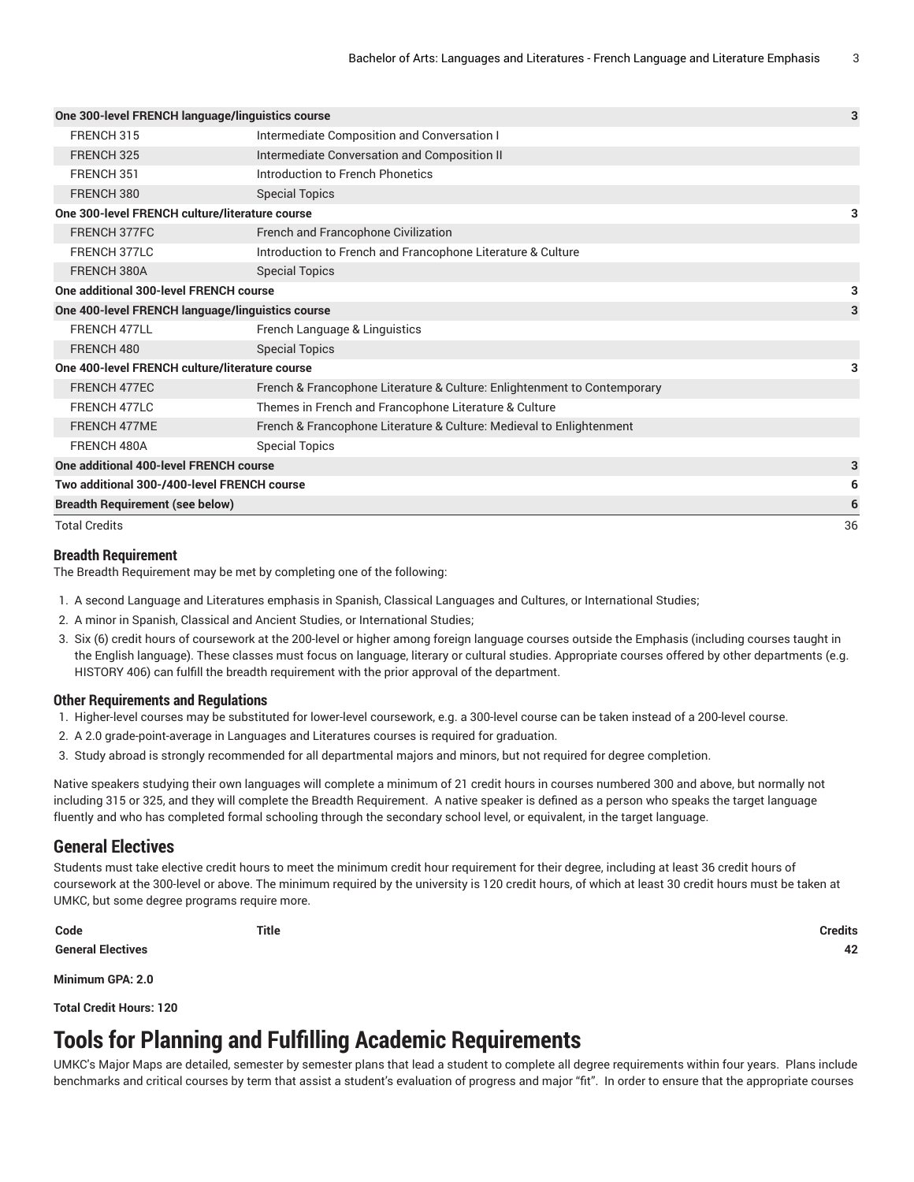| One 300-level FRENCH language/linguistics course |                                                                          | 3  |
|--------------------------------------------------|--------------------------------------------------------------------------|----|
| FRENCH 315                                       | Intermediate Composition and Conversation I                              |    |
| FRENCH 325                                       | Intermediate Conversation and Composition II                             |    |
| FRENCH 351                                       | Introduction to French Phonetics                                         |    |
| FRENCH 380                                       | <b>Special Topics</b>                                                    |    |
| One 300-level FRENCH culture/literature course   |                                                                          | 3  |
| FRENCH 377FC                                     | French and Francophone Civilization                                      |    |
| FRENCH 377LC                                     | Introduction to French and Francophone Literature & Culture              |    |
| FRENCH 380A                                      | <b>Special Topics</b>                                                    |    |
| One additional 300-level FRENCH course           |                                                                          | 3  |
| One 400-level FRENCH language/linguistics course |                                                                          |    |
| FRENCH 477LL                                     | French Language & Linguistics                                            |    |
| FRENCH 480                                       | <b>Special Topics</b>                                                    |    |
| One 400-level FRENCH culture/literature course   |                                                                          | 3  |
| FRENCH 477EC                                     | French & Francophone Literature & Culture: Enlightenment to Contemporary |    |
| FRENCH 477LC                                     | Themes in French and Francophone Literature & Culture                    |    |
| FRENCH 477ME                                     | French & Francophone Literature & Culture: Medieval to Enlightenment     |    |
| FRENCH 480A                                      | <b>Special Topics</b>                                                    |    |
| One additional 400-level FRENCH course           |                                                                          | 3  |
| Two additional 300-/400-level FRENCH course      |                                                                          | 6  |
| <b>Breadth Requirement (see below)</b>           |                                                                          | 6  |
| <b>Total Credits</b>                             |                                                                          | 36 |

#### **Breadth Requirement**

The Breadth Requirement may be met by completing one of the following:

- 1. A second Language and Literatures emphasis in Spanish, Classical Languages and Cultures, or International Studies;
- 2. A minor in Spanish, Classical and Ancient Studies, or International Studies;
- 3. Six (6) credit hours of coursework at the 200-level or higher among foreign language courses outside the Emphasis (including courses taught in the English language). These classes must focus on language, literary or cultural studies. Appropriate courses offered by other departments (e.g. HISTORY 406) can fulfill the breadth requirement with the prior approval of the department.

#### **Other Requirements and Regulations**

- 1. Higher-level courses may be substituted for lower-level coursework, e.g. a 300-level course can be taken instead of a 200-level course.
- 2. A 2.0 grade-point-average in Languages and Literatures courses is required for graduation.
- 3. Study abroad is strongly recommended for all departmental majors and minors, but not required for degree completion.

Native speakers studying their own languages will complete a minimum of 21 credit hours in courses numbered 300 and above, but normally not including 315 or 325, and they will complete the Breadth Requirement. A native speaker is defined as a person who speaks the target language fluently and who has completed formal schooling through the secondary school level, or equivalent, in the target language.

#### **General Electives**

Students must take elective credit hours to meet the minimum credit hour requirement for their degree, including at least 36 credit hours of coursework at the 300-level or above. The minimum required by the university is 120 credit hours, of which at least 30 credit hours must be taken at UMKC, but some degree programs require more.

**General Electives 42**

**Code Title Credits**

**Minimum GPA: 2.0**

**Total Credit Hours: 120**

## **Tools for Planning and Fulfilling Academic Requirements**

UMKC's Major Maps are detailed, semester by semester plans that lead a student to complete all degree requirements within four years. Plans include benchmarks and critical courses by term that assist a student's evaluation of progress and major "fit". In order to ensure that the appropriate courses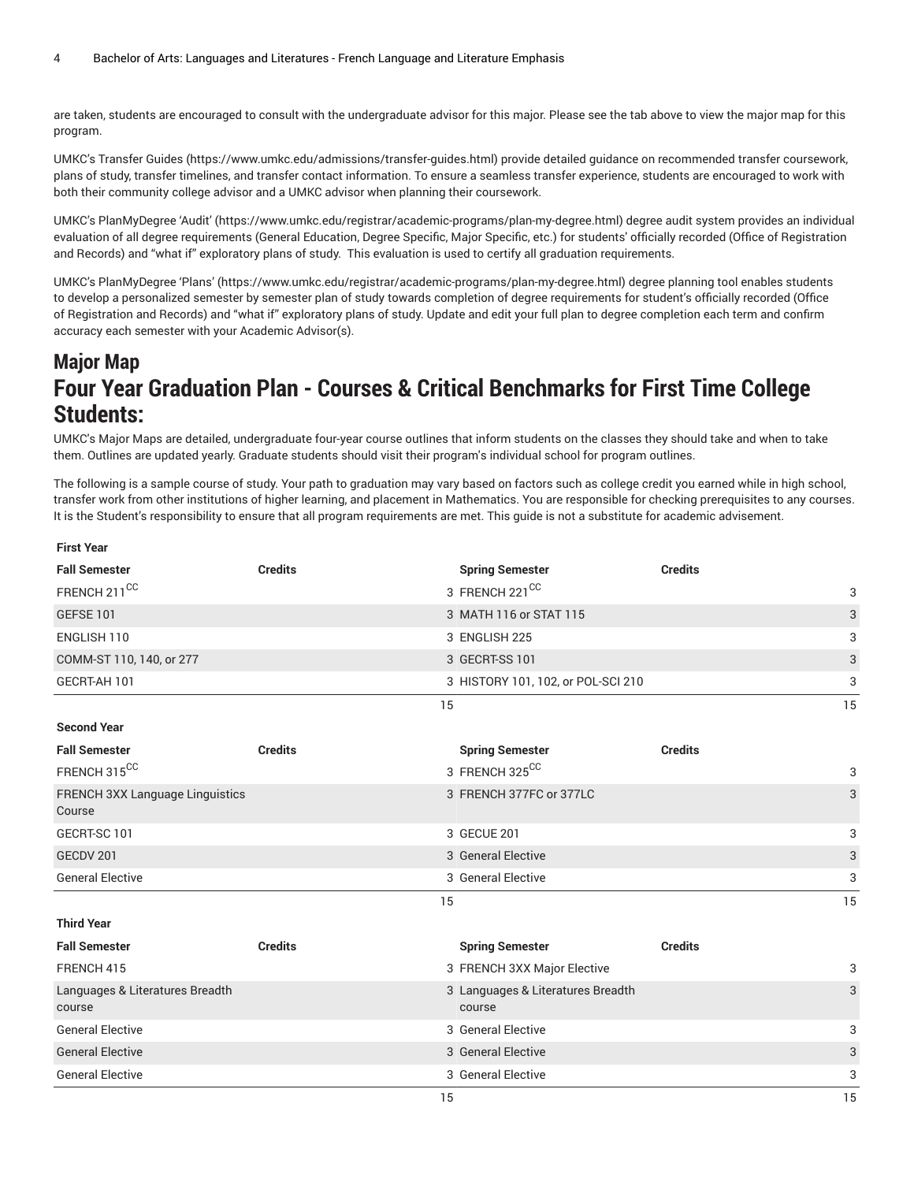are taken, students are encouraged to consult with the undergraduate advisor for this major. Please see the tab above to view the major map for this program.

UMKC's [Transfer](https://www.umkc.edu/admissions/transfer-guides.html) Guides [\(https://www.umkc.edu/admissions/transfer-guides.html](https://www.umkc.edu/admissions/transfer-guides.html)) provide detailed guidance on recommended transfer coursework, plans of study, transfer timelines, and transfer contact information. To ensure a seamless transfer experience, students are encouraged to work with both their community college advisor and a UMKC advisor when planning their coursework.

UMKC's [PlanMyDegree](https://www.umkc.edu/registrar/academic-programs/plan-my-degree.html) 'Audit' ([https://www.umkc.edu/registrar/academic-programs/plan-my-degree.html\)](https://www.umkc.edu/registrar/academic-programs/plan-my-degree.html) degree audit system provides an individual evaluation of all degree requirements (General Education, Degree Specific, Major Specific, etc.) for students' officially recorded (Office of Registration and Records) and "what if" exploratory plans of study. This evaluation is used to certify all graduation requirements.

UMKC's [PlanMyDegree](https://www.umkc.edu/registrar/academic-programs/plan-my-degree.html) 'Plans' [\(https://www.umkc.edu/registrar/academic-programs/plan-my-degree.html\)](https://www.umkc.edu/registrar/academic-programs/plan-my-degree.html) degree planning tool enables students to develop a personalized semester by semester plan of study towards completion of degree requirements for student's officially recorded (Office of Registration and Records) and "what if" exploratory plans of study. Update and edit your full plan to degree completion each term and confirm accuracy each semester with your Academic Advisor(s).

# **Major Map Four Year Graduation Plan - Courses & Critical Benchmarks for First Time College Students:**

UMKC's Major Maps are detailed, undergraduate four-year course outlines that inform students on the classes they should take and when to take them. Outlines are updated yearly. Graduate students should visit their program's individual school for program outlines.

The following is a sample course of study. Your path to graduation may vary based on factors such as college credit you earned while in high school, transfer work from other institutions of higher learning, and placement in Mathematics. You are responsible for checking prerequisites to any courses. It is the Student's responsibility to ensure that all program requirements are met. This guide is not a substitute for academic advisement.

| <b>First Year</b>                         |                |                                             |                |    |
|-------------------------------------------|----------------|---------------------------------------------|----------------|----|
| <b>Fall Semester</b>                      | <b>Credits</b> | <b>Spring Semester</b>                      | <b>Credits</b> |    |
| FRENCH 211 <sup>CC</sup>                  |                | 3 FRENCH 221 <sup>CC</sup>                  |                | 3  |
| <b>GEFSE 101</b>                          |                | 3 MATH 116 or STAT 115                      |                | 3  |
| ENGLISH 110                               |                | 3 ENGLISH 225                               |                | 3  |
| COMM-ST 110, 140, or 277                  |                | 3 GECRT-SS 101                              |                | 3  |
| GECRT-AH 101                              |                | 3 HISTORY 101, 102, or POL-SCI 210          |                | 3  |
|                                           |                | 15                                          |                | 15 |
| <b>Second Year</b>                        |                |                                             |                |    |
| <b>Fall Semester</b>                      | <b>Credits</b> | <b>Spring Semester</b>                      | <b>Credits</b> |    |
| FRENCH 315 <sup>CC</sup>                  |                | 3 FRENCH 325CC                              |                | 3  |
| FRENCH 3XX Language Linguistics<br>Course |                | 3 FRENCH 377FC or 377LC                     |                | 3  |
| GECRT-SC 101                              |                | 3 GECUE 201                                 |                | 3  |
| GECDV 201                                 |                | 3 General Elective                          |                | 3  |
|                                           |                |                                             |                |    |
| <b>General Elective</b>                   |                | 3 General Elective                          |                | 3  |
|                                           |                | 15                                          |                | 15 |
| <b>Third Year</b>                         |                |                                             |                |    |
| <b>Fall Semester</b>                      | <b>Credits</b> | <b>Spring Semester</b>                      | <b>Credits</b> |    |
| FRENCH 415                                |                | 3 FRENCH 3XX Major Elective                 |                | 3  |
| Languages & Literatures Breadth<br>course |                | 3 Languages & Literatures Breadth<br>course |                | 3  |
| <b>General Elective</b>                   |                | 3 General Elective                          |                | 3  |
| <b>General Elective</b>                   |                | 3 General Elective                          |                | 3  |
| <b>General Elective</b>                   |                | 3 General Elective                          |                | 3  |